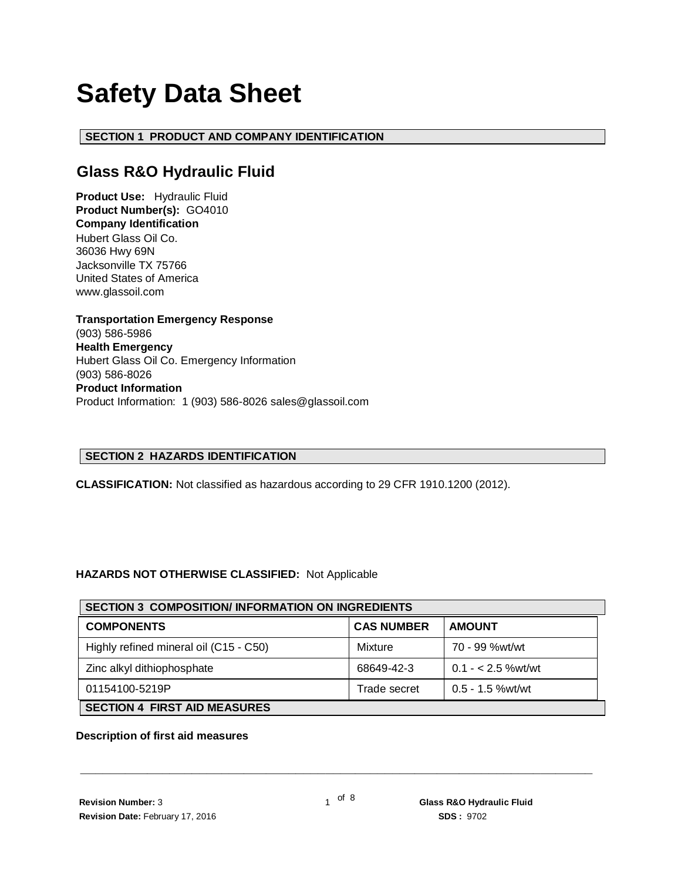# **Safety Data Sheet**

# **SECTION 1 PRODUCT AND COMPANY IDENTIFICATION**

# **Glass R&O Hydraulic Fluid**

**Product Use:** Hydraulic Fluid **Product Number(s):** GO4010 **Company Identification** Hubert Glass Oil Co. 36036 Hwy 69N Jacksonville TX 75766 United States of America www.glassoil.com

**Transportation Emergency Response** (903) 586-5986 **Health Emergency** Hubert Glass Oil Co. Emergency Information (903) 586-8026 **Product Information**  Product Information: 1 (903) 586-8026 sales@glassoil.com

# **SECTION 2 HAZARDS IDENTIFICATION**

**CLASSIFICATION:** Not classified as hazardous according to 29 CFR 1910.1200 (2012).

# **HAZARDS NOT OTHERWISE CLASSIFIED:** Not Applicable

| <b>SECTION 3 COMPOSITION/INFORMATION ON INGREDIENTS</b> |                   |                    |  |  |
|---------------------------------------------------------|-------------------|--------------------|--|--|
| <b>COMPONENTS</b>                                       | <b>CAS NUMBER</b> | <b>AMOUNT</b>      |  |  |
| Highly refined mineral oil (C15 - C50)                  | Mixture           | 70 - 99 %wt/wt     |  |  |
| Zinc alkyl dithiophosphate                              | 68649-42-3        | $0.1 - 2.5$ %wt/wt |  |  |
| 01154100-5219P                                          | Trade secret      | $0.5 - 1.5$ %wt/wt |  |  |
| <b>SECTION 4 FIRST AID MEASURES</b>                     |                   |                    |  |  |

#### **Description of first aid measures**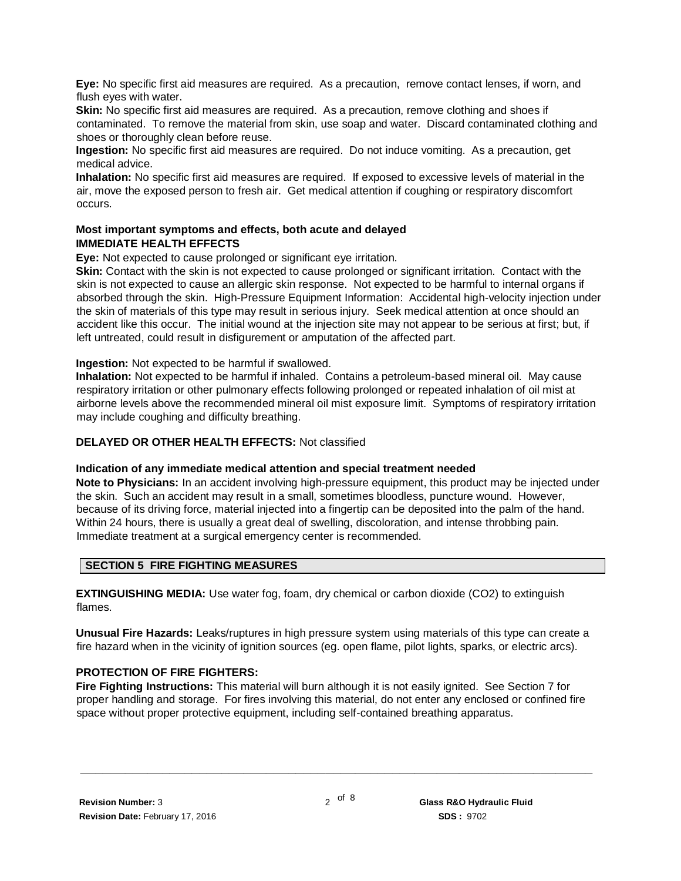**Eye:** No specific first aid measures are required. As a precaution, remove contact lenses, if worn, and flush eyes with water.

**Skin:** No specific first aid measures are required. As a precaution, remove clothing and shoes if contaminated. To remove the material from skin, use soap and water. Discard contaminated clothing and shoes or thoroughly clean before reuse.

**Ingestion:** No specific first aid measures are required. Do not induce vomiting. As a precaution, get medical advice.

**Inhalation:** No specific first aid measures are required. If exposed to excessive levels of material in the air, move the exposed person to fresh air. Get medical attention if coughing or respiratory discomfort occurs.

# **Most important symptoms and effects, both acute and delayed IMMEDIATE HEALTH EFFECTS**

**Eye:** Not expected to cause prolonged or significant eye irritation.

**Skin:** Contact with the skin is not expected to cause prolonged or significant irritation. Contact with the skin is not expected to cause an allergic skin response. Not expected to be harmful to internal organs if absorbed through the skin. High-Pressure Equipment Information: Accidental high-velocity injection under the skin of materials of this type may result in serious injury. Seek medical attention at once should an accident like this occur. The initial wound at the injection site may not appear to be serious at first; but, if left untreated, could result in disfigurement or amputation of the affected part.

**Ingestion:** Not expected to be harmful if swallowed.

**Inhalation:** Not expected to be harmful if inhaled. Contains a petroleum-based mineral oil. May cause respiratory irritation or other pulmonary effects following prolonged or repeated inhalation of oil mist at airborne levels above the recommended mineral oil mist exposure limit. Symptoms of respiratory irritation may include coughing and difficulty breathing.

### **DELAYED OR OTHER HEALTH EFFECTS:** Not classified

#### **Indication of any immediate medical attention and special treatment needed**

**Note to Physicians:** In an accident involving high-pressure equipment, this product may be injected under the skin. Such an accident may result in a small, sometimes bloodless, puncture wound. However, because of its driving force, material injected into a fingertip can be deposited into the palm of the hand. Within 24 hours, there is usually a great deal of swelling, discoloration, and intense throbbing pain. Immediate treatment at a surgical emergency center is recommended.

# **SECTION 5 FIRE FIGHTING MEASURES**

**EXTINGUISHING MEDIA:** Use water fog, foam, dry chemical or carbon dioxide (CO2) to extinguish flames.

**Unusual Fire Hazards:** Leaks/ruptures in high pressure system using materials of this type can create a fire hazard when in the vicinity of ignition sources (eg. open flame, pilot lights, sparks, or electric arcs).

# **PROTECTION OF FIRE FIGHTERS:**

**Fire Fighting Instructions:** This material will burn although it is not easily ignited. See Section 7 for proper handling and storage. For fires involving this material, do not enter any enclosed or confined fire space without proper protective equipment, including self-contained breathing apparatus.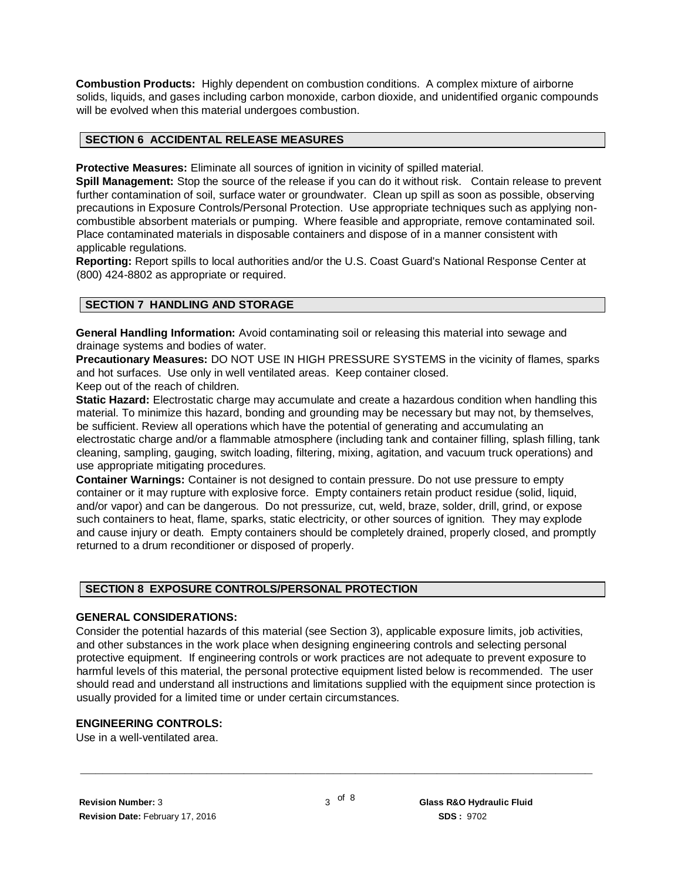**Combustion Products:** Highly dependent on combustion conditions. A complex mixture of airborne solids, liquids, and gases including carbon monoxide, carbon dioxide, and unidentified organic compounds will be evolved when this material undergoes combustion.

#### **SECTION 6 ACCIDENTAL RELEASE MEASURES**

**Protective Measures:** Eliminate all sources of ignition in vicinity of spilled material.

**Spill Management:** Stop the source of the release if you can do it without risk. Contain release to prevent further contamination of soil, surface water or groundwater. Clean up spill as soon as possible, observing precautions in Exposure Controls/Personal Protection. Use appropriate techniques such as applying noncombustible absorbent materials or pumping. Where feasible and appropriate, remove contaminated soil. Place contaminated materials in disposable containers and dispose of in a manner consistent with applicable regulations.

**Reporting:** Report spills to local authorities and/or the U.S. Coast Guard's National Response Center at (800) 424-8802 as appropriate or required.

# **SECTION 7 HANDLING AND STORAGE**

**General Handling Information:** Avoid contaminating soil or releasing this material into sewage and drainage systems and bodies of water.

**Precautionary Measures:** DO NOT USE IN HIGH PRESSURE SYSTEMS in the vicinity of flames, sparks and hot surfaces. Use only in well ventilated areas. Keep container closed. Keep out of the reach of children.

**Static Hazard:** Electrostatic charge may accumulate and create a hazardous condition when handling this material. To minimize this hazard, bonding and grounding may be necessary but may not, by themselves, be sufficient. Review all operations which have the potential of generating and accumulating an electrostatic charge and/or a flammable atmosphere (including tank and container filling, splash filling, tank cleaning, sampling, gauging, switch loading, filtering, mixing, agitation, and vacuum truck operations) and use appropriate mitigating procedures.

**Container Warnings:** Container is not designed to contain pressure. Do not use pressure to empty container or it may rupture with explosive force. Empty containers retain product residue (solid, liquid, and/or vapor) and can be dangerous. Do not pressurize, cut, weld, braze, solder, drill, grind, or expose such containers to heat, flame, sparks, static electricity, or other sources of ignition. They may explode and cause injury or death. Empty containers should be completely drained, properly closed, and promptly returned to a drum reconditioner or disposed of properly.

# **SECTION 8 EXPOSURE CONTROLS/PERSONAL PROTECTION**

#### **GENERAL CONSIDERATIONS:**

Consider the potential hazards of this material (see Section 3), applicable exposure limits, job activities, and other substances in the work place when designing engineering controls and selecting personal protective equipment. If engineering controls or work practices are not adequate to prevent exposure to harmful levels of this material, the personal protective equipment listed below is recommended. The user should read and understand all instructions and limitations supplied with the equipment since protection is usually provided for a limited time or under certain circumstances.

# **ENGINEERING CONTROLS:**

Use in a well-ventilated area.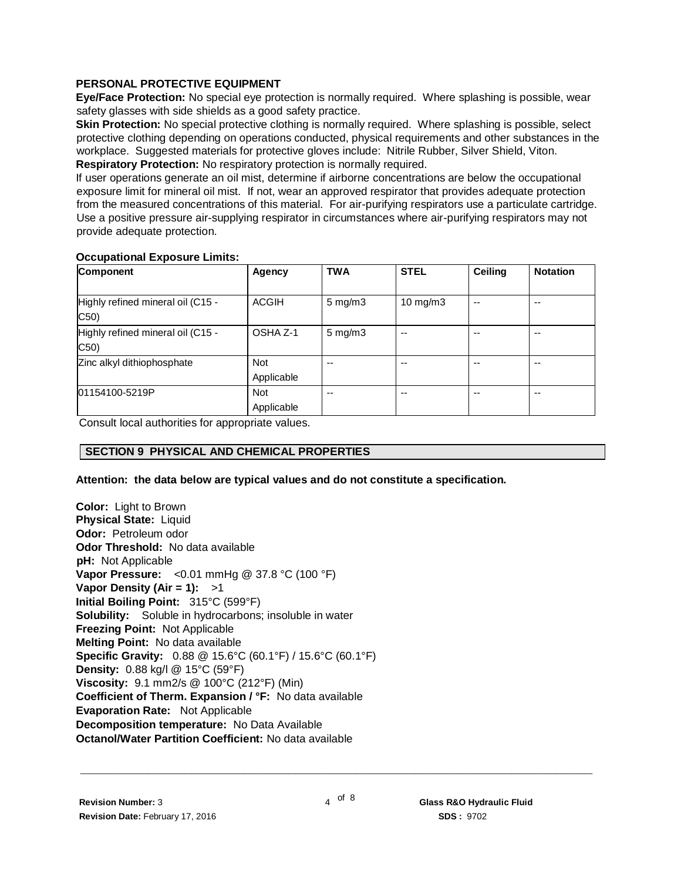# **PERSONAL PROTECTIVE EQUIPMENT**

**Eye/Face Protection:** No special eye protection is normally required. Where splashing is possible, wear safety glasses with side shields as a good safety practice.

**Skin Protection:** No special protective clothing is normally required. Where splashing is possible, select protective clothing depending on operations conducted, physical requirements and other substances in the workplace. Suggested materials for protective gloves include: Nitrile Rubber, Silver Shield, Viton. **Respiratory Protection:** No respiratory protection is normally required.

If user operations generate an oil mist, determine if airborne concentrations are below the occupational exposure limit for mineral oil mist. If not, wear an approved respirator that provides adequate protection from the measured concentrations of this material. For air-purifying respirators use a particulate cartridge. Use a positive pressure air-supplying respirator in circumstances where air-purifying respirators may not provide adequate protection.

#### **Occupational Exposure Limits:**

| <b>Component</b>                          | Agency                   | <b>TWA</b>         | <b>STEL</b>       | Ceiling | <b>Notation</b> |
|-------------------------------------------|--------------------------|--------------------|-------------------|---------|-----------------|
| Highly refined mineral oil (C15 -<br>C50  | ACGIH                    | $5 \text{ mg/m}$   | $10 \text{ mg/m}$ | --      | --              |
| Highly refined mineral oil (C15 -<br>C50) | OSHA Z-1                 | $5 \text{ mg/m}$ 3 | --                |         | --              |
| Zinc alkyl dithiophosphate                | <b>Not</b><br>Applicable | --                 |                   |         | --              |
| 01154100-5219P                            | Not<br>Applicable        | --                 | --                |         | $- -$           |

Consult local authorities for appropriate values.

# **SECTION 9 PHYSICAL AND CHEMICAL PROPERTIES**

#### **Attention: the data below are typical values and do not constitute a specification.**

**Color:** Light to Brown **Physical State:** Liquid **Odor:** Petroleum odor **Odor Threshold:** No data available **pH:** Not Applicable **Vapor Pressure:** <0.01 mmHg @ 37.8 °C (100 °F) **Vapor Density (Air = 1):** >1 **Initial Boiling Point:** 315°C (599°F) **Solubility:** Soluble in hydrocarbons; insoluble in water **Freezing Point:** Not Applicable **Melting Point:** No data available **Specific Gravity:** 0.88 @ 15.6°C (60.1°F) / 15.6°C (60.1°F) **Density:** 0.88 kg/l @ 15°C (59°F) **Viscosity:** 9.1 mm2/s @ 100°C (212°F) (Min) **Coefficient of Therm. Expansion / °F:** No data available **Evaporation Rate:** Not Applicable **Decomposition temperature:** No Data Available **Octanol/Water Partition Coefficient:** No data available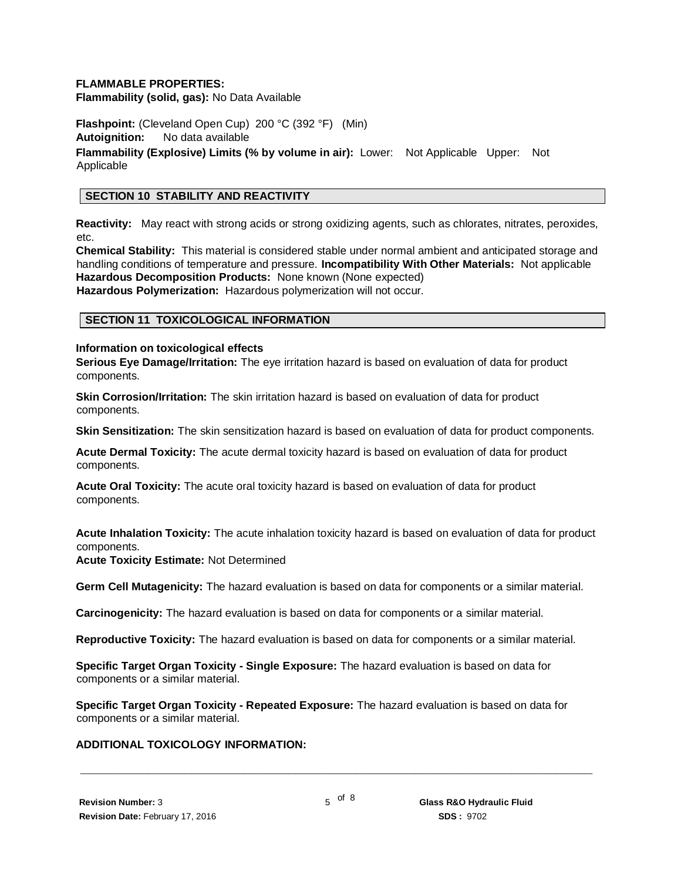#### **FLAMMABLE PROPERTIES:**

**Flammability (solid, gas):** No Data Available

**Flashpoint:** (Cleveland Open Cup) 200 °C (392 °F) (Min) **Autoignition:** No data available **Flammability (Explosive) Limits (% by volume in air):** Lower: Not Applicable Upper: Not Applicable

# **SECTION 10 STABILITY AND REACTIVITY**

**Reactivity:** May react with strong acids or strong oxidizing agents, such as chlorates, nitrates, peroxides, etc.

**Chemical Stability:** This material is considered stable under normal ambient and anticipated storage and handling conditions of temperature and pressure. **Incompatibility With Other Materials:** Not applicable **Hazardous Decomposition Products:** None known (None expected) **Hazardous Polymerization:** Hazardous polymerization will not occur.

#### **SECTION 11 TOXICOLOGICAL INFORMATION**

#### **Information on toxicological effects**

**Serious Eye Damage/Irritation:** The eye irritation hazard is based on evaluation of data for product components.

**Skin Corrosion/Irritation:** The skin irritation hazard is based on evaluation of data for product components.

**Skin Sensitization:** The skin sensitization hazard is based on evaluation of data for product components.

**Acute Dermal Toxicity:** The acute dermal toxicity hazard is based on evaluation of data for product components.

**Acute Oral Toxicity:** The acute oral toxicity hazard is based on evaluation of data for product components.

**Acute Inhalation Toxicity:** The acute inhalation toxicity hazard is based on evaluation of data for product components.

**Acute Toxicity Estimate:** Not Determined

**Germ Cell Mutagenicity:** The hazard evaluation is based on data for components or a similar material.

**Carcinogenicity:** The hazard evaluation is based on data for components or a similar material.

**Reproductive Toxicity:** The hazard evaluation is based on data for components or a similar material.

**Specific Target Organ Toxicity - Single Exposure:** The hazard evaluation is based on data for components or a similar material.

**Specific Target Organ Toxicity - Repeated Exposure:** The hazard evaluation is based on data for components or a similar material.

#### **ADDITIONAL TOXICOLOGY INFORMATION:**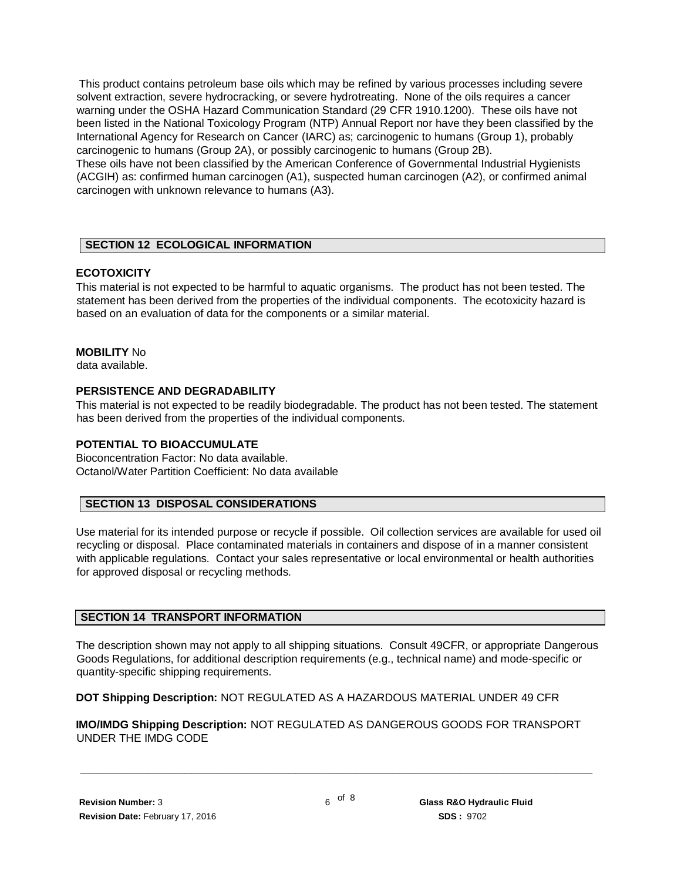This product contains petroleum base oils which may be refined by various processes including severe solvent extraction, severe hydrocracking, or severe hydrotreating. None of the oils requires a cancer warning under the OSHA Hazard Communication Standard (29 CFR 1910.1200). These oils have not been listed in the National Toxicology Program (NTP) Annual Report nor have they been classified by the International Agency for Research on Cancer (IARC) as; carcinogenic to humans (Group 1), probably carcinogenic to humans (Group 2A), or possibly carcinogenic to humans (Group 2B).

These oils have not been classified by the American Conference of Governmental Industrial Hygienists (ACGIH) as: confirmed human carcinogen (A1), suspected human carcinogen (A2), or confirmed animal carcinogen with unknown relevance to humans (A3).

# **SECTION 12 ECOLOGICAL INFORMATION**

# **ECOTOXICITY**

This material is not expected to be harmful to aquatic organisms. The product has not been tested. The statement has been derived from the properties of the individual components. The ecotoxicity hazard is based on an evaluation of data for the components or a similar material.

# **MOBILITY** No

data available.

# **PERSISTENCE AND DEGRADABILITY**

This material is not expected to be readily biodegradable. The product has not been tested. The statement has been derived from the properties of the individual components.

#### **POTENTIAL TO BIOACCUMULATE**

Bioconcentration Factor: No data available. Octanol/Water Partition Coefficient: No data available

# **SECTION 13 DISPOSAL CONSIDERATIONS**

Use material for its intended purpose or recycle if possible. Oil collection services are available for used oil recycling or disposal. Place contaminated materials in containers and dispose of in a manner consistent with applicable regulations. Contact your sales representative or local environmental or health authorities for approved disposal or recycling methods.

#### **SECTION 14 TRANSPORT INFORMATION**

The description shown may not apply to all shipping situations. Consult 49CFR, or appropriate Dangerous Goods Regulations, for additional description requirements (e.g., technical name) and mode-specific or quantity-specific shipping requirements.

**DOT Shipping Description:** NOT REGULATED AS A HAZARDOUS MATERIAL UNDER 49 CFR

**IMO/IMDG Shipping Description:** NOT REGULATED AS DANGEROUS GOODS FOR TRANSPORT UNDER THE IMDG CODE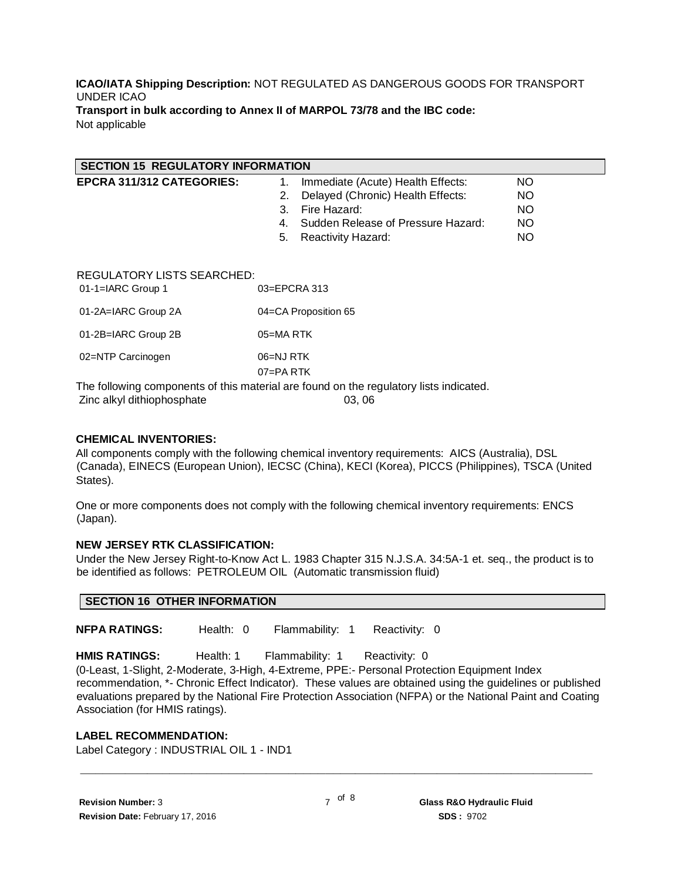#### **ICAO/IATA Shipping Description:** NOT REGULATED AS DANGEROUS GOODS FOR TRANSPORT UNDER ICAO **Transport in bulk according to Annex II of MARPOL 73/78 and the IBC code:** Not applicable

| <b>SECTION 15 REGULATORY INFORMATION</b>                               |                                          |           |  |  |  |
|------------------------------------------------------------------------|------------------------------------------|-----------|--|--|--|
| EPCRA 311/312 CATEGORIES:                                              | Immediate (Acute) Health Effects:<br>1.  | NO.       |  |  |  |
|                                                                        | Delayed (Chronic) Health Effects:<br>2.  | <b>NO</b> |  |  |  |
|                                                                        | Fire Hazard:<br>3.                       | <b>NO</b> |  |  |  |
|                                                                        | Sudden Release of Pressure Hazard:<br>4. | <b>NO</b> |  |  |  |
|                                                                        | 5.<br><b>Reactivity Hazard:</b>          | <b>NO</b> |  |  |  |
|                                                                        |                                          |           |  |  |  |
| <b>REGULATORY LISTS SEARCHED:</b><br>01-1=IARC Group 1<br>03=EPCRA 313 |                                          |           |  |  |  |
| 01-2A=IARC Group 2A                                                    | 04=CA Proposition 65                     |           |  |  |  |
| 01-2B=IARC Group 2B                                                    | 05=MARTK                                 |           |  |  |  |
| 02=NTP Carcinogen                                                      | 06=NJ RTK<br>$07 = PA$ RTK               |           |  |  |  |

The following components of this material are found on the regulatory lists indicated. Zinc alkyl dithiophosphate 03, 06

#### **CHEMICAL INVENTORIES:**

All components comply with the following chemical inventory requirements: AICS (Australia), DSL (Canada), EINECS (European Union), IECSC (China), KECI (Korea), PICCS (Philippines), TSCA (United States).

One or more components does not comply with the following chemical inventory requirements: ENCS (Japan).

#### **NEW JERSEY RTK CLASSIFICATION:**

Under the New Jersey Right-to-Know Act L. 1983 Chapter 315 N.J.S.A. 34:5A-1 et. seq., the product is to be identified as follows: PETROLEUM OIL (Automatic transmission fluid)

**NFPA RATINGS:** Health: 0 Flammability: 1 Reactivity: 0

**HMIS RATINGS:** Health: 1 Flammability: 1 Reactivity: 0

(0-Least, 1-Slight, 2-Moderate, 3-High, 4-Extreme, PPE:- Personal Protection Equipment Index recommendation, \*- Chronic Effect Indicator). These values are obtained using the guidelines or published evaluations prepared by the National Fire Protection Association (NFPA) or the National Paint and Coating Association (for HMIS ratings).

#### **LABEL RECOMMENDATION:**

Label Category : INDUSTRIAL OIL 1 - IND1